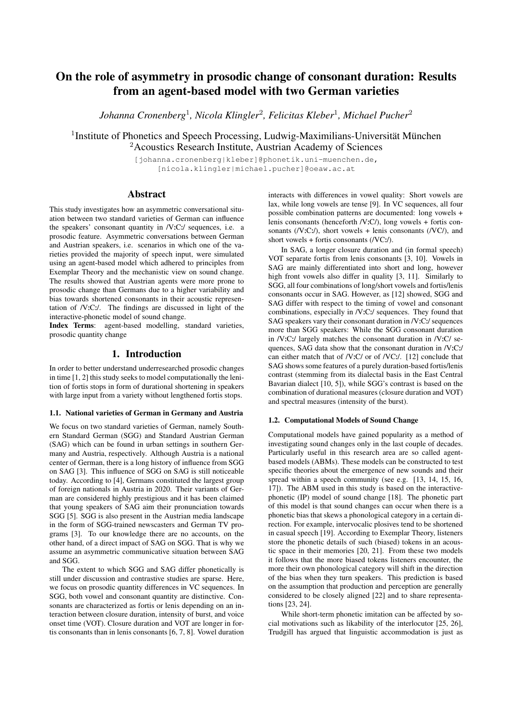# On the role of asymmetry in prosodic change of consonant duration: Results from an agent-based model with two German varieties

*Johanna Cronenberg*<sup>1</sup> *, Nicola Klingler*<sup>2</sup> *, Felicitas Kleber*<sup>1</sup> *, Michael Pucher*<sup>2</sup>

<sup>1</sup> Institute of Phonetics and Speech Processing, Ludwig-Maximilians-Universität München <sup>2</sup>Acoustics Research Institute, Austrian Academy of Sciences

> [johanna.cronenberg|kleber]@phonetik.uni-muenchen.de, [nicola.klingler|michael.pucher]@oeaw.ac.at

## Abstract

This study investigates how an asymmetric conversational situation between two standard varieties of German can influence the speakers' consonant quantity in /V:C:/ sequences, i.e. a prosodic feature. Asymmetric conversations between German and Austrian speakers, i.e. scenarios in which one of the varieties provided the majority of speech input, were simulated using an agent-based model which adhered to principles from Exemplar Theory and the mechanistic view on sound change. The results showed that Austrian agents were more prone to prosodic change than Germans due to a higher variability and bias towards shortened consonants in their acoustic representation of /V:C:/. The findings are discussed in light of the interactive-phonetic model of sound change.

Index Terms: agent-based modelling, standard varieties, prosodic quantity change

# 1. Introduction

In order to better understand underresearched prosodic changes in time [1, 2] this study seeks to model computationally the lenition of fortis stops in form of durational shortening in speakers with large input from a variety without lengthened fortis stops.

#### 1.1. National varieties of German in Germany and Austria

We focus on two standard varieties of German, namely Southern Standard German (SGG) and Standard Austrian German (SAG) which can be found in urban settings in southern Germany and Austria, respectively. Although Austria is a national center of German, there is a long history of influence from SGG on SAG [3]. This influence of SGG on SAG is still noticeable today. According to [4], Germans constituted the largest group of foreign nationals in Austria in 2020. Their variants of German are considered highly prestigious and it has been claimed that young speakers of SAG aim their pronunciation towards SGG [5]. SGG is also present in the Austrian media landscape in the form of SGG-trained newscasters and German TV programs [3]. To our knowledge there are no accounts, on the other hand, of a direct impact of SAG on SGG. That is why we assume an asymmetric communicative situation between SAG and SGG.

The extent to which SGG and SAG differ phonetically is still under discussion and contrastive studies are sparse. Here, we focus on prosodic quantity differences in VC sequences. In SGG, both vowel and consonant quantity are distinctive. Consonants are characterized as fortis or lenis depending on an interaction between closure duration, intensity of burst, and voice onset time (VOT). Closure duration and VOT are longer in fortis consonants than in lenis consonants [6, 7, 8]. Vowel duration interacts with differences in vowel quality: Short vowels are lax, while long vowels are tense [9]. In VC sequences, all four possible combination patterns are documented: long vowels + lenis consonants (henceforth /V:C/), long vowels + fortis consonants  $(V:Cl)$ , short vowels + lenis consonants  $(VCl)$ , and short vowels + fortis consonants (/VC:/).

In SAG, a longer closure duration and (in formal speech) VOT separate fortis from lenis consonants [3, 10]. Vowels in SAG are mainly differentiated into short and long, however high front vowels also differ in quality [3, 11]. Similarly to SGG, all four combinations of long/short vowels and fortis/lenis consonants occur in SAG. However, as [12] showed, SGG and SAG differ with respect to the timing of vowel and consonant combinations, especially in /V:C:/ sequences. They found that SAG speakers vary their consonant duration in /V:C:/ sequences more than SGG speakers: While the SGG consonant duration in /V:C:/ largely matches the consonant duration in /V:C/ sequences, SAG data show that the consonant duration in /V:C:/ can either match that of /V:C/ or of /VC:/. [12] conclude that SAG shows some features of a purely duration-based fortis/lenis contrast (stemming from its dialectal basis in the East Central Bavarian dialect [10, 5]), while SGG's contrast is based on the combination of durational measures (closure duration and VOT) and spectral measures (intensity of the burst).

#### 1.2. Computational Models of Sound Change

Computational models have gained popularity as a method of investigating sound changes only in the last couple of decades. Particularly useful in this research area are so called agentbased models (ABMs). These models can be constructed to test specific theories about the emergence of new sounds and their spread within a speech community (see e.g. [13, 14, 15, 16, 17]). The ABM used in this study is based on the interactivephonetic (IP) model of sound change [18]. The phonetic part of this model is that sound changes can occur when there is a phonetic bias that skews a phonological category in a certain direction. For example, intervocalic plosives tend to be shortened in casual speech [19]. According to Exemplar Theory, listeners store the phonetic details of such (biased) tokens in an acoustic space in their memories [20, 21]. From these two models it follows that the more biased tokens listeners encounter, the more their own phonological category will shift in the direction of the bias when they turn speakers. This prediction is based on the assumption that production and perception are generally considered to be closely aligned [22] and to share representations [23, 24].

While short-term phonetic imitation can be affected by social motivations such as likability of the interlocutor [25, 26], Trudgill has argued that linguistic accommodation is just as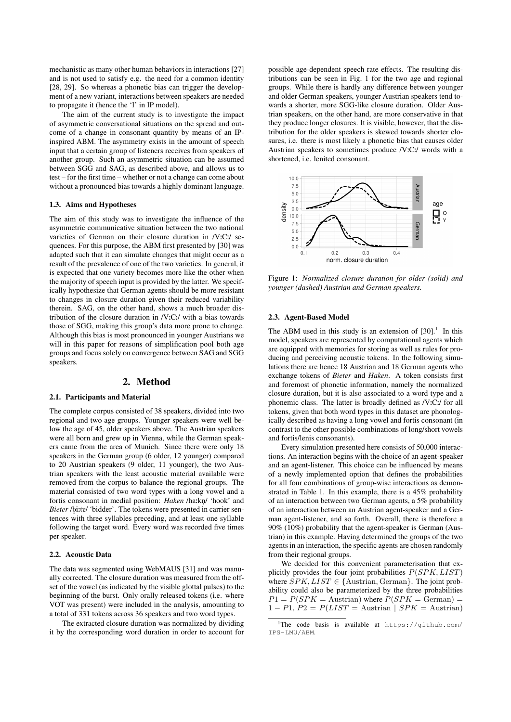mechanistic as many other human behaviors in interactions [27] and is not used to satisfy e.g. the need for a common identity [28, 29]. So whereas a phonetic bias can trigger the development of a new variant, interactions between speakers are needed to propagate it (hence the 'I' in IP model).

The aim of the current study is to investigate the impact of asymmetric conversational situations on the spread and outcome of a change in consonant quantity by means of an IPinspired ABM. The asymmetry exists in the amount of speech input that a certain group of listeners receives from speakers of another group. Such an asymmetric situation can be assumed between SGG and SAG, as described above, and allows us to test – for the first time – whether or not a change can come about without a pronounced bias towards a highly dominant language.

#### 1.3. Aims and Hypotheses

The aim of this study was to investigate the influence of the asymmetric communicative situation between the two national varieties of German on their closure duration in /V:C:/ sequences. For this purpose, the ABM first presented by [30] was adapted such that it can simulate changes that might occur as a result of the prevalence of one of the two varieties. In general, it is expected that one variety becomes more like the other when the majority of speech input is provided by the latter. We specifically hypothesize that German agents should be more resistant to changes in closure duration given their reduced variability therein. SAG, on the other hand, shows a much broader distribution of the closure duration in /V:C:/ with a bias towards those of SGG, making this group's data more prone to change. Although this bias is most pronounced in younger Austrians we will in this paper for reasons of simplification pool both age groups and focus solely on convergence between SAG and SGG speakers.

## 2. Method

#### 2.1. Participants and Material

The complete corpus consisted of 38 speakers, divided into two regional and two age groups. Younger speakers were well below the age of 45, older speakers above. The Austrian speakers were all born and grew up in Vienna, while the German speakers came from the area of Munich. Since there were only 18 speakers in the German group (6 older, 12 younger) compared to 20 Austrian speakers (9 older, 11 younger), the two Austrian speakers with the least acoustic material available were removed from the corpus to balance the regional groups. The material consisted of two word types with a long vowel and a fortis consonant in medial position: *Haken* /ha:kn / 'hook' and " Bieter /bi:te/ 'bidder'. The tokens were presented in carrier sentences with three syllables preceding, and at least one syllable following the target word. Every word was recorded five times per speaker.

#### 2.2. Acoustic Data

The data was segmented using WebMAUS [31] and was manually corrected. The closure duration was measured from the offset of the vowel (as indicated by the visible glottal pulses) to the beginning of the burst. Only orally released tokens (i.e. where VOT was present) were included in the analysis, amounting to a total of 331 tokens across 36 speakers and two word types.

The extracted closure duration was normalized by dividing it by the corresponding word duration in order to account for possible age-dependent speech rate effects. The resulting distributions can be seen in Fig. 1 for the two age and regional groups. While there is hardly any difference between younger and older German speakers, younger Austrian speakers tend towards a shorter, more SGG-like closure duration. Older Austrian speakers, on the other hand, are more conservative in that they produce longer closures. It is visible, however, that the distribution for the older speakers is skewed towards shorter closures, i.e. there is most likely a phonetic bias that causes older Austrian speakers to sometimes produce /V:C:/ words with a shortened, i.e. lenited consonant.



Figure 1: *Normalized closure duration for older (solid) and younger (dashed) Austrian and German speakers.*

#### 2.3. Agent-Based Model

The ABM used in this study is an extension of  $[30]$ .<sup>1</sup> In this model, speakers are represented by computational agents which are equipped with memories for storing as well as rules for producing and perceiving acoustic tokens. In the following simulations there are hence 18 Austrian and 18 German agents who exchange tokens of *Bieter* and *Haken*. A token consists first and foremost of phonetic information, namely the normalized closure duration, but it is also associated to a word type and a phonemic class. The latter is broadly defined as /V:C:/ for all tokens, given that both word types in this dataset are phonologically described as having a long vowel and fortis consonant (in contrast to the other possible combinations of long/short vowels and fortis/lenis consonants).

Every simulation presented here consists of 50,000 interactions. An interaction begins with the choice of an agent-speaker and an agent-listener. This choice can be influenced by means of a newly implemented option that defines the probabilities for all four combinations of group-wise interactions as demonstrated in Table 1. In this example, there is a 45% probability of an interaction between two German agents, a 5% probability of an interaction between an Austrian agent-speaker and a German agent-listener, and so forth. Overall, there is therefore a 90% (10%) probability that the agent-speaker is German (Austrian) in this example. Having determined the groups of the two agents in an interaction, the specific agents are chosen randomly from their regional groups.

We decided for this convenient parameterisation that explicitly provides the four joint probabilities  $P(SPK, LIST)$ where  $SPK, LIST \in \{A$ ustrian, German $\}$ . The joint probability could also be parameterized by the three probabilities  $P1 = P(SPK =$  Austrian) where  $P(SPK =$  German) =  $1 - P1$ ,  $P2 = P(LIST =$  Austrian |  $SPK =$  Austrian)

<sup>&</sup>lt;sup>1</sup>The code basis is available at https://github.com/ IPS-LMU/ABM.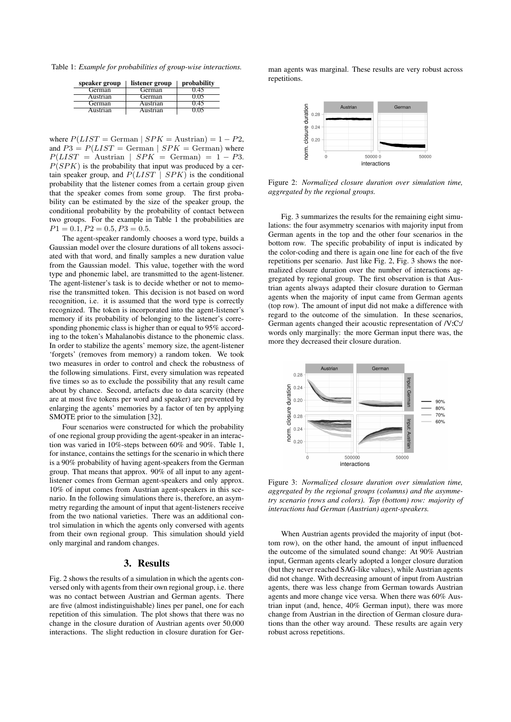Table 1: *Example for probabilities of group-wise interactions.*

| speaker group | listener group | probability |
|---------------|----------------|-------------|
| German        | German         | 0.45        |
| Austrian      | German         | 0.05        |
| German        | Austrian       | 0.45        |
| Austrian      | Austrian       | 0.05        |

where  $P(LIST = German | SPK = Austrian) = 1 - P2$ , and  $P3 = P(LIST = German | SPK = German)$  where  $P(LIST =$ Austrian |  $SPK =$ German) = 1 – P3.  $P(SPK)$  is the probability that input was produced by a certain speaker group, and  $P(LIST | SPK)$  is the conditional probability that the listener comes from a certain group given that the speaker comes from some group. The first probability can be estimated by the size of the speaker group, the conditional probability by the probability of contact between two groups. For the example in Table 1 the probabilities are  $P1 = 0.1, P2 = 0.5, P3 = 0.5.$ 

The agent-speaker randomly chooses a word type, builds a Gaussian model over the closure durations of all tokens associated with that word, and finally samples a new duration value from the Gaussian model. This value, together with the word type and phonemic label, are transmitted to the agent-listener. The agent-listener's task is to decide whether or not to memorise the transmitted token. This decision is not based on word recognition, i.e. it is assumed that the word type is correctly recognized. The token is incorporated into the agent-listener's memory if its probability of belonging to the listener's corresponding phonemic class is higher than or equal to 95% according to the token's Mahalanobis distance to the phonemic class. In order to stabilize the agents' memory size, the agent-listener 'forgets' (removes from memory) a random token. We took two measures in order to control and check the robustness of the following simulations. First, every simulation was repeated five times so as to exclude the possibility that any result came about by chance. Second, artefacts due to data scarcity (there are at most five tokens per word and speaker) are prevented by enlarging the agents' memories by a factor of ten by applying SMOTE prior to the simulation [32].

Four scenarios were constructed for which the probability of one regional group providing the agent-speaker in an interaction was varied in 10%-steps between 60% and 90%. Table 1, for instance, contains the settings for the scenario in which there is a 90% probability of having agent-speakers from the German group. That means that approx. 90% of all input to any agentlistener comes from German agent-speakers and only approx. 10% of input comes from Austrian agent-speakers in this scenario. In the following simulations there is, therefore, an asymmetry regarding the amount of input that agent-listeners receive from the two national varieties. There was an additional control simulation in which the agents only conversed with agents from their own regional group. This simulation should yield only marginal and random changes.

# 3. Results

Fig. 2 shows the results of a simulation in which the agents conversed only with agents from their own regional group, i.e. there was no contact between Austrian and German agents. There are five (almost indistinguishable) lines per panel, one for each repetition of this simulation. The plot shows that there was no change in the closure duration of Austrian agents over 50,000 interactions. The slight reduction in closure duration for Ger-

man agents was marginal. These results are very robust across repetitions.



Figure 2: *Normalized closure duration over simulation time, aggregated by the regional groups.*

Fig. 3 summarizes the results for the remaining eight simulations: the four asymmetry scenarios with majority input from German agents in the top and the other four scenarios in the bottom row. The specific probability of input is indicated by the color-coding and there is again one line for each of the five repetitions per scenario. Just like Fig. 2, Fig. 3 shows the normalized closure duration over the number of interactions aggregated by regional group. The first observation is that Austrian agents always adapted their closure duration to German agents when the majority of input came from German agents (top row). The amount of input did not make a difference with regard to the outcome of the simulation. In these scenarios, German agents changed their acoustic representation of /V:C:/ words only marginally: the more German input there was, the more they decreased their closure duration.



Figure 3: *Normalized closure duration over simulation time, aggregated by the regional groups (columns) and the asymmetry scenario (rows and colors). Top (bottom) row: majority of interactions had German (Austrian) agent-speakers.*

When Austrian agents provided the majority of input (bottom row), on the other hand, the amount of input influenced the outcome of the simulated sound change: At 90% Austrian input, German agents clearly adopted a longer closure duration (but they never reached SAG-like values), while Austrian agents did not change. With decreasing amount of input from Austrian agents, there was less change from German towards Austrian agents and more change vice versa. When there was 60% Austrian input (and, hence, 40% German input), there was more change from Austrian in the direction of German closure durations than the other way around. These results are again very robust across repetitions.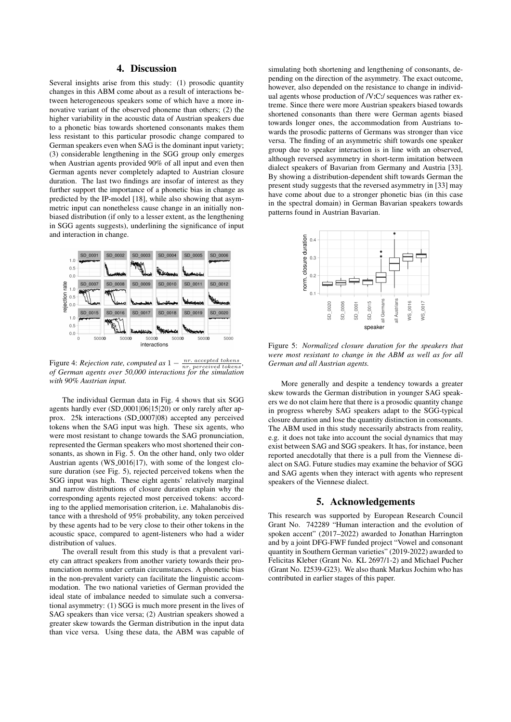# 4. Discussion

Several insights arise from this study: (1) prosodic quantity changes in this ABM come about as a result of interactions between heterogeneous speakers some of which have a more innovative variant of the observed phoneme than others; (2) the higher variability in the acoustic data of Austrian speakers due to a phonetic bias towards shortened consonants makes them less resistant to this particular prosodic change compared to German speakers even when SAG is the dominant input variety; (3) considerable lengthening in the SGG group only emerges when Austrian agents provided 90% of all input and even then German agents never completely adapted to Austrian closure duration. The last two findings are insofar of interest as they further support the importance of a phonetic bias in change as predicted by the IP-model [18], while also showing that asymmetric input can nonetheless cause change in an initially nonbiased distribution (if only to a lesser extent, as the lengthening in SGG agents suggests), underlining the significance of input and interaction in change.



Figure 4: *Rejection rate, computed as*  $1 - \frac{nr}{nr}$  *excepted tokens, of German agents over 50,000 interactions for the simulation with 90% Austrian input.*

The individual German data in Fig. 4 shows that six SGG agents hardly ever (SD<sub>-0001</sub>|06|15|20) or only rarely after approx. 25k interactions (SD 0007|08) accepted any perceived tokens when the SAG input was high. These six agents, who were most resistant to change towards the SAG pronunciation, represented the German speakers who most shortened their consonants, as shown in Fig. 5. On the other hand, only two older Austrian agents (WS<sub>-0016</sub>|17), with some of the longest closure duration (see Fig. 5), rejected perceived tokens when the SGG input was high. These eight agents' relatively marginal and narrow distributions of closure duration explain why the corresponding agents rejected most perceived tokens: according to the applied memorisation criterion, i.e. Mahalanobis distance with a threshold of 95% probability, any token perceived by these agents had to be very close to their other tokens in the acoustic space, compared to agent-listeners who had a wider distribution of values.

The overall result from this study is that a prevalent variety can attract speakers from another variety towards their pronunciation norms under certain circumstances. A phonetic bias in the non-prevalent variety can facilitate the linguistic accommodation. The two national varieties of German provided the ideal state of imbalance needed to simulate such a conversational asymmetry: (1) SGG is much more present in the lives of SAG speakers than vice versa; (2) Austrian speakers showed a greater skew towards the German distribution in the input data than vice versa. Using these data, the ABM was capable of

simulating both shortening and lengthening of consonants, depending on the direction of the asymmetry. The exact outcome, however, also depended on the resistance to change in individual agents whose production of /V:C:/ sequences was rather extreme. Since there were more Austrian speakers biased towards shortened consonants than there were German agents biased towards longer ones, the accommodation from Austrians towards the prosodic patterns of Germans was stronger than vice versa. The finding of an asymmetric shift towards one speaker group due to speaker interaction is in line with an observed, although reversed asymmetry in short-term imitation between dialect speakers of Bavarian from Germany and Austria [33]. By showing a distribution-dependent shift towards German the present study suggests that the reversed asymmetry in [33] may have come about due to a stronger phonetic bias (in this case in the spectral domain) in German Bavarian speakers towards patterns found in Austrian Bavarian.



Figure 5: *Normalized closure duration for the speakers that were most resistant to change in the ABM as well as for all German and all Austrian agents.*

More generally and despite a tendency towards a greater skew towards the German distribution in younger SAG speakers we do not claim here that there is a prosodic quantity change in progress whereby SAG speakers adapt to the SGG-typical closure duration and lose the quantity distinction in consonants. The ABM used in this study necessarily abstracts from reality, e.g. it does not take into account the social dynamics that may exist between SAG and SGG speakers. It has, for instance, been reported anecdotally that there is a pull from the Viennese dialect on SAG. Future studies may examine the behavior of SGG and SAG agents when they interact with agents who represent speakers of the Viennese dialect.

## 5. Acknowledgements

This research was supported by European Research Council Grant No. 742289 "Human interaction and the evolution of spoken accent" (2017–2022) awarded to Jonathan Harrington and by a joint DFG-FWF funded project "Vowel and consonant quantity in Southern German varieties" (2019-2022) awarded to Felicitas Kleber (Grant No. KL 2697/1-2) and Michael Pucher (Grant No. I2539-G23). We also thank Markus Jochim who has contributed in earlier stages of this paper.